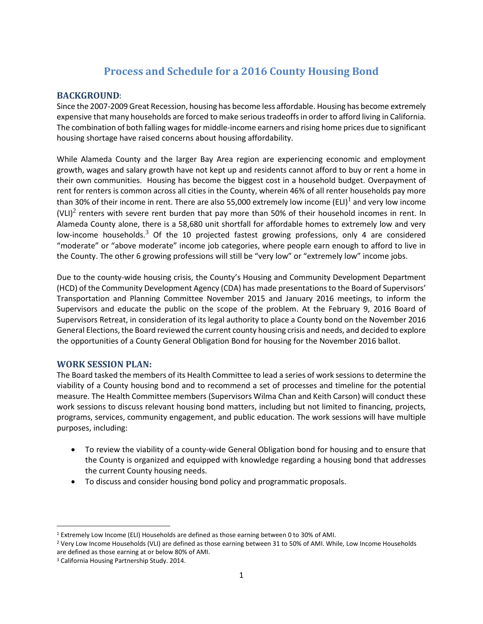# **Process and Schedule for a 2016 County Housing Bond**

#### **BACKGROUND**:

Since the 2007-2009 Great Recession, housing has become less affordable. Housing has become extremely expensive that many households are forced to make serious tradeoffs in order to afford living in California. The combination of both falling wages for middle-income earners and rising home prices due to significant housing shortage have raised concerns about housing affordability.

While Alameda County and the larger Bay Area region are experiencing economic and employment growth, wages and salary growth have not kept up and residents cannot afford to buy or rent a home in their own communities. Housing has become the biggest cost in a household budget. Overpayment of rent for renters is common across all cities in the County, wherein 46% of all renter households pay more than 30% of their income in rent. There are also 55,000 extremely low income (ELI)<sup>1</sup> and very low income (VLI)<sup>2</sup> renters with severe rent burden that pay more than 50% of their household incomes in rent. In Alameda County alone, there is a 58,680 unit shortfall for affordable homes to extremely low and very low-income households.<sup>3</sup> Of the 10 projected fastest growing professions, only 4 are considered "moderate" or "above moderate" income job categories, where people earn enough to afford to live in the County. The other 6 growing professions will still be "very low" or "extremely low" income jobs.

Due to the county-wide housing crisis, the County's Housing and Community Development Department (HCD) of the Community Development Agency (CDA) has made presentations to the Board of Supervisors' Transportation and Planning Committee November 2015 and January 2016 meetings, to inform the Supervisors and educate the public on the scope of the problem. At the February 9, 2016 Board of Supervisors Retreat, in consideration of its legal authority to place a County bond on the November 2016 General Elections, the Board reviewed the current county housing crisis and needs, and decided to explore the opportunities of a County General Obligation Bond for housing for the November 2016 ballot.

## **WORK SESSION PLAN:**

The Board tasked the members of its Health Committee to lead a series of work sessions to determine the viability of a County housing bond and to recommend a set of processes and timeline for the potential measure. The Health Committee members (Supervisors Wilma Chan and Keith Carson) will conduct these work sessions to discuss relevant housing bond matters, including but not limited to financing, projects, programs, services, community engagement, and public education. The work sessions will have multiple purposes, including:

- To review the viability of a county-wide General Obligation bond for housing and to ensure that the County is organized and equipped with knowledge regarding a housing bond that addresses the current County housing needs.
- To discuss and consider housing bond policy and programmatic proposals.

 $\overline{\phantom{a}}$ 

<sup>1</sup> Extremely Low Income (ELI) Households are defined as those earning between 0 to 30% of AMI.

<sup>2</sup> Very Low Income Households (VLI) are defined as those earning between 31 to 50% of AMI. While, Low Income Households are defined as those earning at or below 80% of AMI.

<sup>3</sup> California Housing Partnership Study. 2014.